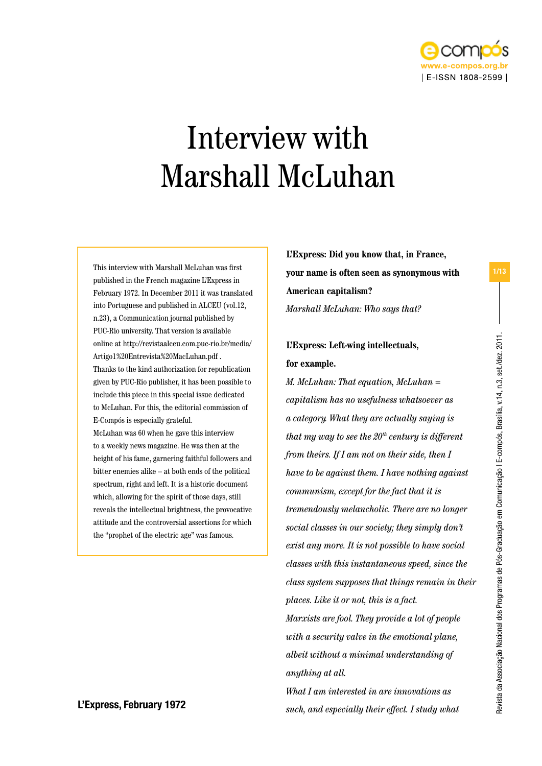

# Interview with Marshall McLuhan

This interview with Marshall McLuhan was first published in the French magazine L'Express in February 1972. In December 2011 it was translated into Portuguese and published in ALCEU (vol.12, n.23), a Communication journal published by PUC-Rio university. That version is available online at http://revistaalceu.com.puc-rio.br/media/ Artigo1%20Entrevista%20MacLuhan.pdf . Thanks to the kind authorization for republication given by PUC-Rio publisher, it has been possible to include this piece in this special issue dedicated to McLuhan. For this, the editorial commission of E-Compós is especially grateful. McLuhan was 60 when he gave this interview to a weekly news magazine. He was then at the height of his fame, garnering faithful followers and bitter enemies alike – at both ends of the political spectrum, right and left. It is a historic document which, allowing for the spirit of those days, still reveals the intellectual brightness, the provocative attitude and the controversial assertions for which the "prophet of the electric age" was famous.

**L'Express: Did you know that, in France, your name is often seen as synonymous with American capitalism?** *Marshall McLuhan: Who says that?*

### **L'Express: Left-wing intellectuals, for example.**

*M. McLuhan: That equation, McLuhan = capitalism has no usefulness whatsoever as a category. What they are actually saying is that my way to see the 20th century is different from theirs. If I am not on their side, then I have to be against them. I have nothing against communism, except for the fact that it is tremendously melancholic. There are no longer social classes in our society; they simply don't exist any more. It is not possible to have social classes with this instantaneous speed, since the class system supposes that things remain in their places. Like it or not, this is a fact. Marxists are fool. They provide a lot of people with a security valve in the emotional plane, albeit without a minimal understanding of anything at all.* 

*What I am interested in are innovations as such, and especially their effect. I study what* L'Express, February 1972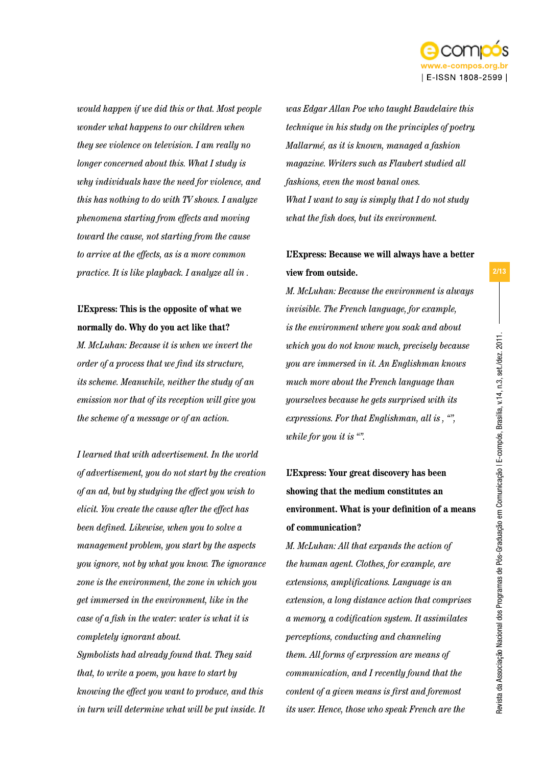

*would happen if we did this or that. Most people wonder what happens to our children when they see violence on television. I am really no longer concerned about this. What I study is why individuals have the need for violence, and this has nothing to do with TV shows. I analyze phenomena starting from effects and moving toward the cause, not starting from the cause to arrive at the effects, as is a more common practice. It is like playback. I analyze all in .*

### **L'Express: This is the opposite of what we normally do. Why do you act like that?**

*M. McLuhan: Because it is when we invert the order of a process that we find its structure, its scheme. Meanwhile, neither the study of an emission nor that of its reception will give you the scheme of a message or of an action.*

*I learned that with advertisement. In the world of advertisement, you do not start by the creation of an ad, but by studying the effect you wish to elicit. You create the cause after the effect has been defined. Likewise, when you to solve a management problem, you start by the aspects you ignore, not by what you know. The ignorance zone is the environment, the zone in which you get immersed in the environment, like in the case of a fish in the water: water is what it is completely ignorant about. Symbolists had already found that. They said that, to write a poem, you have to start by knowing the effect you want to produce, and this* 

*in turn will determine what will be put inside. It* 

*was Edgar Allan Poe who taught Baudelaire this technique in his study on the principles of poetry. Mallarmé, as it is known, managed a fashion magazine. Writers such as Flaubert studied all fashions, even the most banal ones. What I want to say is simply that I do not study what the fish does, but its environment.* 

### **L'Express: Because we will always have a better view from outside.**

*M. McLuhan: Because the environment is always invisible. The French language, for example, is the environment where you soak and about which you do not know much, precisely because you are immersed in it. An Englishman knows much more about the French language than yourselves because he gets surprised with its expressions. For that Englishman, all is , "", while for you it is "".* 

# **L'Express: Your great discovery has been showing that the medium constitutes an environment. What is your definition of a means of communication?**

*M. McLuhan: All that expands the action of the human agent. Clothes, for example, are extensions, amplifications. Language is an extension, a long distance action that comprises a memory, a codification system. It assimilates perceptions, conducting and channeling them. All forms of expression are means of communication, and I recently found that the content of a given means is first and foremost its user. Hence, those who speak French are the*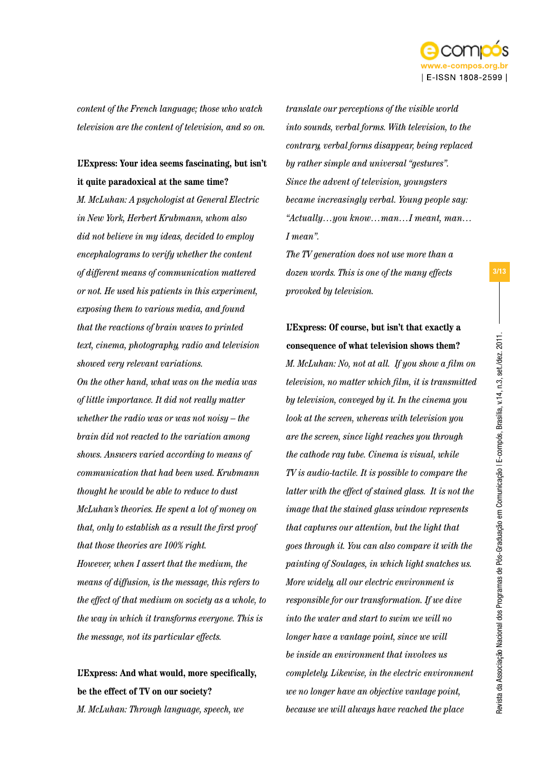

*content of the French language; those who watch television are the content of television, and so on.* 

### **L'Express: Your idea seems fascinating, but isn't it quite paradoxical at the same time?**

*M. McLuhan: A psychologist at General Electric in New York, Herbert Krubmann, whom also did not believe in my ideas, decided to employ encephalograms to verify whether the content of different means of communication mattered or not. He used his patients in this experiment, exposing them to various media, and found that the reactions of brain waves to printed text, cinema, photography, radio and television showed very relevant variations.* 

*On the other hand, what was on the media was of little importance. It did not really matter whether the radio was or was not noisy – the brain did not reacted to the variation among shows. Answers varied according to means of communication that had been used. Krubmann thought he would be able to reduce to dust McLuhan's theories. He spent a lot of money on that, only to establish as a result the first proof that those theories are 100% right. However, when I assert that the medium, the means of diffusion, is the message, this refers to the effect of that medium on society as a whole, to the way in which it transforms everyone. This is the message, not its particular effects.* 

**L'Express: And what would, more specifically, be the effect of TV on our society?** *M. McLuhan: Through language, speech, we* 

*translate our perceptions of the visible world into sounds, verbal forms. With television, to the contrary, verbal forms disappear, being replaced by rather simple and universal "gestures". Since the advent of television, youngsters became increasingly verbal. Young people say: "Actually…you know…man…I meant, man… I mean".*

*The TV generation does not use more than a dozen words. This is one of the many effects provoked by television.* 

**L'Express: Of course, but isn't that exactly a consequence of what television shows them?** *M. McLuhan: No, not at all. If you show a film on television, no matter which film, it is transmitted by television, conveyed by it. In the cinema you look at the screen, whereas with television you are the screen, since light reaches you through the cathode ray tube. Cinema is visual, while TV is audio-tactile. It is possible to compare the latter with the effect of stained glass. It is not the image that the stained glass window represents that captures our attention, but the light that goes through it. You can also compare it with the painting of Soulages, in which light snatches us. More widely, all our electric environment is responsible for our transformation. If we dive into the water and start to swim we will no longer have a vantage point, since we will be inside an environment that involves us completely. Likewise, in the electric environment we no longer have an objective vantage point, because we will always have reached the place*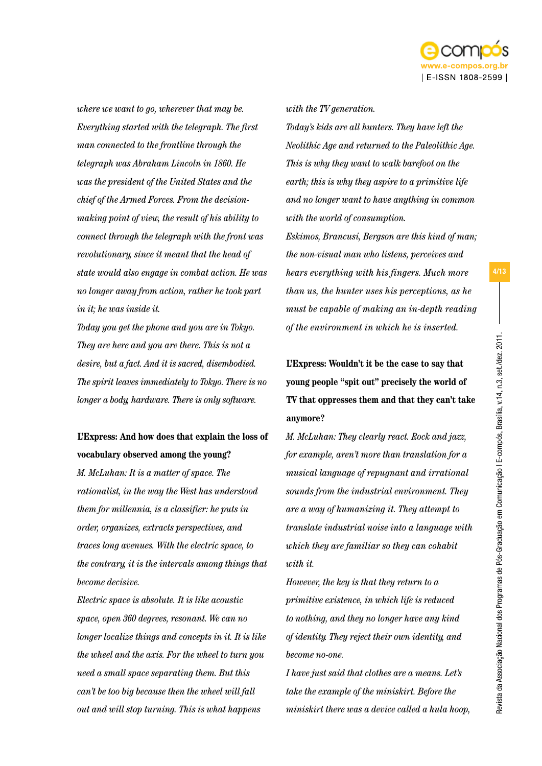

*where we want to go, wherever that may be. Everything started with the telegraph. The first man connected to the frontline through the telegraph was Abraham Lincoln in 1860. He was the president of the United States and the chief of the Armed Forces. From the decisionmaking point of view, the result of his ability to connect through the telegraph with the front was revolutionary, since it meant that the head of state would also engage in combat action. He was no longer away from action, rather he took part in it; he was inside it.* 

*Today you get the phone and you are in Tokyo. They are here and you are there. This is not a desire, but a fact. And it is sacred, disembodied. The spirit leaves immediately to Tokyo. There is no longer a body, hardware. There is only software.* 

### **L'Express: And how does that explain the loss of vocabulary observed among the young?**

*M. McLuhan: It is a matter of space. The rationalist, in the way the West has understood them for millennia, is a classifier: he puts in order, organizes, extracts perspectives, and traces long avenues. With the electric space, to the contrary, it is the intervals among things that become decisive.* 

*Electric space is absolute. It is like acoustic space, open 360 degrees, resonant. We can no longer localize things and concepts in it. It is like the wheel and the axis. For the wheel to turn you need a small space separating them. But this can't be too big because then the wheel will fall out and will stop turning. This is what happens* 

*with the TV generation.* 

*Today's kids are all hunters. They have left the Neolithic Age and returned to the Paleolithic Age. This is why they want to walk barefoot on the earth; this is why they aspire to a primitive life and no longer want to have anything in common with the world of consumption.* 

*Eskimos, Brancusi, Bergson are this kind of man; the non-visual man who listens, perceives and hears everything with his fingers. Much more than us, the hunter uses his perceptions, as he must be capable of making an in-depth reading of the environment in which he is inserted.* 

**L'Express: Wouldn't it be the case to say that young people "spit out" precisely the world of TV that oppresses them and that they can't take anymore?**

*M. McLuhan: They clearly react. Rock and jazz, for example, aren't more than translation for a musical language of repugnant and irrational sounds from the industrial environment. They are a way of humanizing it. They attempt to translate industrial noise into a language with which they are familiar so they can cohabit with it.*

*However, the key is that they return to a primitive existence, in which life is reduced to nothing, and they no longer have any kind of identity. They reject their own identity, and become no-one.* 

*I have just said that clothes are a means. Let's take the example of the miniskirt. Before the miniskirt there was a device called a hula hoop,*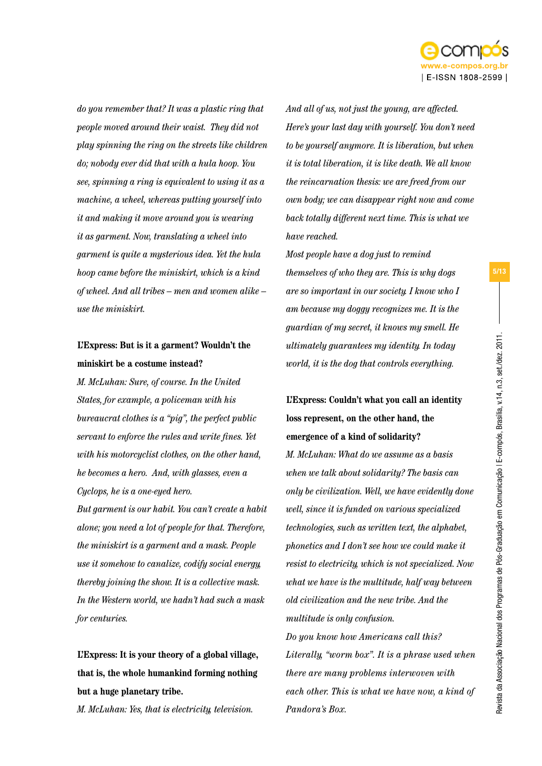

*do you remember that? It was a plastic ring that people moved around their waist. They did not play spinning the ring on the streets like children do; nobody ever did that with a hula hoop. You see, spinning a ring is equivalent to using it as a machine, a wheel, whereas putting yourself into it and making it move around you is wearing it as garment. Now, translating a wheel into garment is quite a mysterious idea. Yet the hula hoop came before the miniskirt, which is a kind of wheel. And all tribes – men and women alike – use the miniskirt.* 

### **L'Express: But is it a garment? Wouldn't the miniskirt be a costume instead?**

*M. McLuhan: Sure, of course. In the United States, for example, a policeman with his bureaucrat clothes is a "pig", the perfect public servant to enforce the rules and write fines. Yet with his motorcyclist clothes, on the other hand, he becomes a hero. And, with glasses, even a Cyclops, he is a one-eyed hero.* 

*But garment is our habit. You can't create a habit alone; you need a lot of people for that. Therefore, the miniskirt is a garment and a mask. People use it somehow to canalize, codify social energy, thereby joining the show. It is a collective mask. In the Western world, we hadn't had such a mask for centuries.*

**L'Express: It is your theory of a global village, that is, the whole humankind forming nothing but a huge planetary tribe.**

*M. McLuhan: Yes, that is electricity, television.* 

*And all of us, not just the young, are affected. Here's your last day with yourself. You don't need to be yourself anymore. It is liberation, but when it is total liberation, it is like death. We all know the reincarnation thesis: we are freed from our own body; we can disappear right now and come back totally different next time. This is what we have reached.* 

*Most people have a dog just to remind themselves of who they are. This is why dogs are so important in our society. I know who I am because my doggy recognizes me. It is the guardian of my secret, it knows my smell. He ultimately guarantees my identity. In today world, it is the dog that controls everything.* 

**L'Express: Couldn't what you call an identity loss represent, on the other hand, the emergence of a kind of solidarity?**  *M. McLuhan: What do we assume as a basis when we talk about solidarity? The basis can only be civilization. Well, we have evidently done well, since it is funded on various specialized technologies, such as written text, the alphabet, phonetics and I don't see how we could make it resist to electricity, which is not specialized. Now what we have is the multitude, half way between old civilization and the new tribe. And the multitude is only confusion. Do you know how Americans call this? Literally, "worm box". It is a phrase used when there are many problems interwoven with each other. This is what we have now, a kind of Pandora's Box.*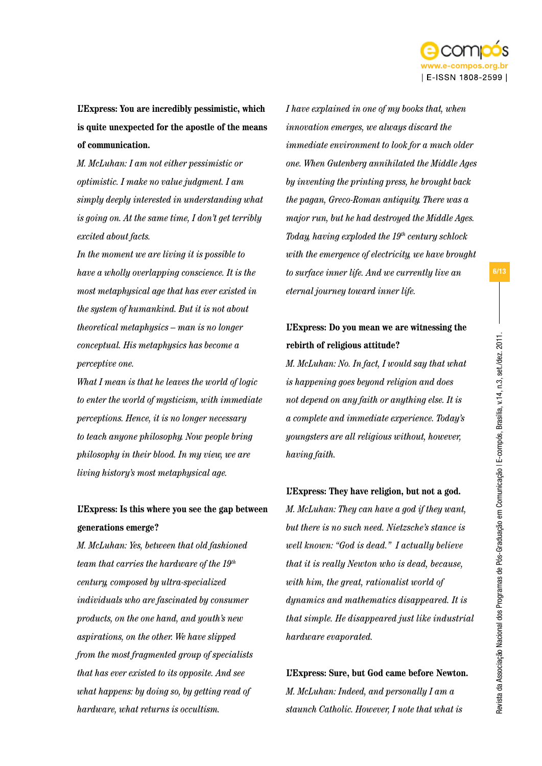

**L'Express: You are incredibly pessimistic, which is quite unexpected for the apostle of the means of communication.** 

*M. McLuhan: I am not either pessimistic or optimistic. I make no value judgment. I am simply deeply interested in understanding what is going on. At the same time, I don't get terribly excited about facts.* 

*In the moment we are living it is possible to have a wholly overlapping conscience. It is the most metaphysical age that has ever existed in the system of humankind. But it is not about theoretical metaphysics – man is no longer conceptual. His metaphysics has become a perceptive one.* 

*What I mean is that he leaves the world of logic to enter the world of mysticism, with immediate perceptions. Hence, it is no longer necessary to teach anyone philosophy. Now people bring philosophy in their blood. In my view, we are living history's most metaphysical age.* 

### **L'Express: Is this where you see the gap between generations emerge?**

*M. McLuhan: Yes, between that old fashioned team that carries the hardware of the 19th century, composed by ultra-specialized individuals who are fascinated by consumer products, on the one hand, and youth's new aspirations, on the other. We have slipped from the most fragmented group of specialists that has ever existed to its opposite. And see what happens: by doing so, by getting read of hardware, what returns is occultism.* 

*I have explained in one of my books that, when innovation emerges, we always discard the immediate environment to look for a much older one. When Gutenberg annihilated the Middle Ages by inventing the printing press, he brought back the pagan, Greco-Roman antiquity. There was a major run, but he had destroyed the Middle Ages. Today, having exploded the 19th century schlock with the emergence of electricity, we have brought to surface inner life. And we currently live an eternal journey toward inner life.* 

### **L'Express: Do you mean we are witnessing the rebirth of religious attitude?**

*M. McLuhan: No. In fact, I would say that what is happening goes beyond religion and does not depend on any faith or anything else. It is a complete and immediate experience. Today's youngsters are all religious without, however, having faith.* 

### **L'Express: They have religion, but not a god.**

*M. McLuhan: They can have a god if they want, but there is no such need. Nietzsche's stance is well known: "God is dead." I actually believe that it is really Newton who is dead, because, with him, the great, rationalist world of dynamics and mathematics disappeared. It is that simple. He disappeared just like industrial hardware evaporated.* 

**L'Express: Sure, but God came before Newton.** *M. McLuhan: Indeed, and personally I am a staunch Catholic. However, I note that what is*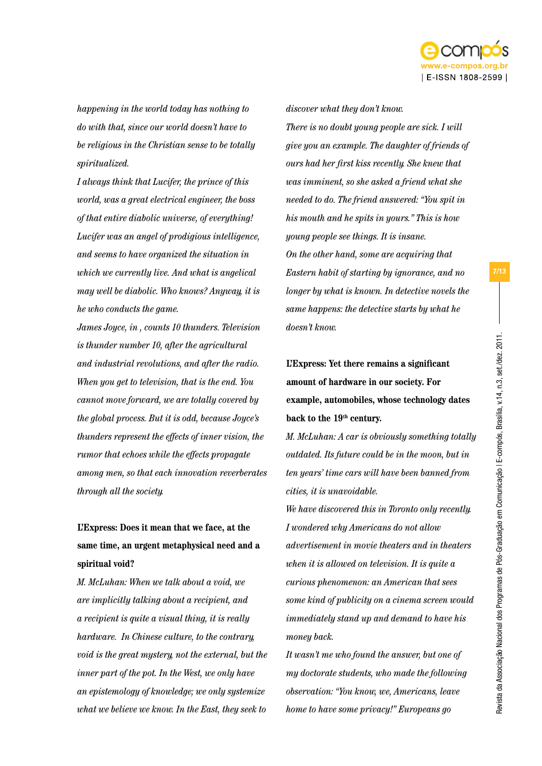

*happening in the world today has nothing to do with that, since our world doesn't have to be religious in the Christian sense to be totally spiritualized.* 

*I always think that Lucifer, the prince of this world, was a great electrical engineer, the boss of that entire diabolic universe, of everything! Lucifer was an angel of prodigious intelligence, and seems to have organized the situation in which we currently live. And what is angelical may well be diabolic. Who knows? Anyway, it is he who conducts the game.* 

*James Joyce, in , counts 10 thunders. Television is thunder number 10, after the agricultural and industrial revolutions, and after the radio. When you get to television, that is the end. You cannot move forward, we are totally covered by the global process. But it is odd, because Joyce's thunders represent the effects of inner vision, the rumor that echoes while the effects propagate among men, so that each innovation reverberates through all the society.* 

# **L'Express: Does it mean that we face, at the same time, an urgent metaphysical need and a spiritual void?**

*M. McLuhan: When we talk about a void, we are implicitly talking about a recipient, and a recipient is quite a visual thing, it is really hardware. In Chinese culture, to the contrary, void is the great mystery, not the external, but the inner part of the pot. In the West, we only have an epistemology of knowledge; we only systemize what we believe we know. In the East, they seek to* 

*There is no doubt young people are sick. I will give you an example. The daughter of friends of ours had her first kiss recently. She knew that was imminent, so she asked a friend what she needed to do. The friend answered: "You spit in his mouth and he spits in yours." This is how young people see things. It is insane. On the other hand, some are acquiring that Eastern habit of starting by ignorance, and no longer by what is known. In detective novels the same happens: the detective starts by what he doesn't know.* 

*discover what they don't know.* 

**L'Express: Yet there remains a significant amount of hardware in our society. For example, automobiles, whose technology dates**  back to the 19<sup>th</sup> century.

*M. McLuhan: A car is obviously something totally outdated. Its future could be in the moon, but in ten years' time cars will have been banned from cities, it is unavoidable.* 

*We have discovered this in Toronto only recently. I wondered why Americans do not allow advertisement in movie theaters and in theaters when it is allowed on television. It is quite a curious phenomenon: an American that sees some kind of publicity on a cinema screen would immediately stand up and demand to have his money back.* 

*It wasn't me who found the answer, but one of my doctorate students, who made the following observation: "You know, we, Americans, leave home to have some privacy!" Europeans go*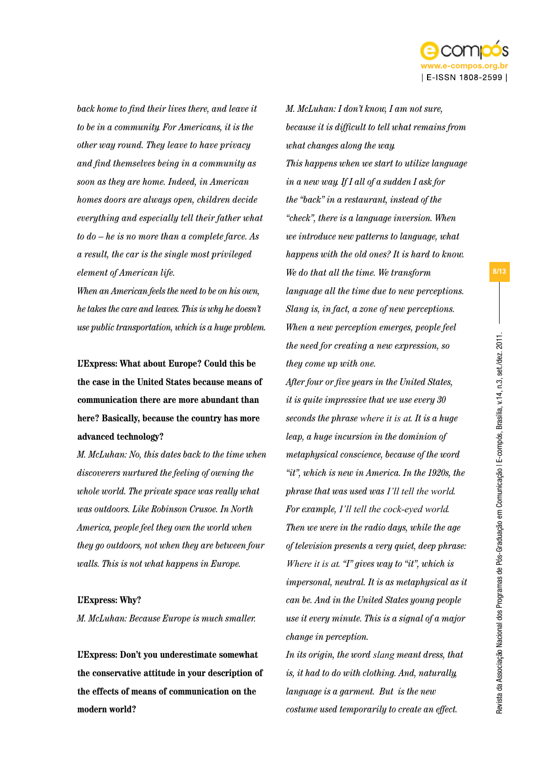

*back home to find their lives there, and leave it to be in a community. For Americans, it is the other way round. They leave to have privacy and find themselves being in a community as soon as they are home. Indeed, in American homes doors are always open, children decide everything and especially tell their father what to do – he is no more than a complete farce. As a result, the car is the single most privileged element of American life.* 

*When an American feels the need to be on his own, he takes the care and leaves. This is why he doesn't use public transportation, which is a huge problem.* 

**L'Express: What about Europe? Could this be the case in the United States because means of communication there are more abundant than here? Basically, because the country has more advanced technology?** 

*M. McLuhan: No, this dates back to the time when discoverers nurtured the feeling of owning the whole world. The private space was really what was outdoors. Like Robinson Crusoe. In North America, people feel they own the world when they go outdoors, not when they are between four walls. This is not what happens in Europe.* 

### **L'Express: Why?**

*M. McLuhan: Because Europe is much smaller.* 

**L'Express: Don't you underestimate somewhat the conservative attitude in your description of the effects of means of communication on the modern world?**

*M. McLuhan: I don't know, I am not sure, because it is difficult to tell what remains from what changes along the way. This happens when we start to utilize language in a new way. If I all of a sudden I ask for the "back" in a restaurant, instead of the "check", there is a language inversion. When we introduce new patterns to language, what happens with the old ones? It is hard to know. We do that all the time. We transform language all the time due to new perceptions. Slang is, in fact, a zone of new perceptions. When a new perception emerges, people feel the need for creating a new expression, so they come up with one.* 

*After four or five years in the United States, it is quite impressive that we use every 30 seconds the phrase where it is at. It is a huge leap, a huge incursion in the dominion of metaphysical conscience, because of the word "it", which is new in America. In the 1920s, the phrase that was used was I'll tell the world. For example, I'll tell the cock-eyed world. Then we were in the radio days, while the age of television presents a very quiet, deep phrase: Where it is at. "I" gives way to "it", which is impersonal, neutral. It is as metaphysical as it can be. And in the United States young people use it every minute. This is a signal of a major change in perception.* 

*In its origin, the word slang meant dress, that is, it had to do with clothing. And, naturally, language is a garment. But is the new costume used temporarily to create an effect.*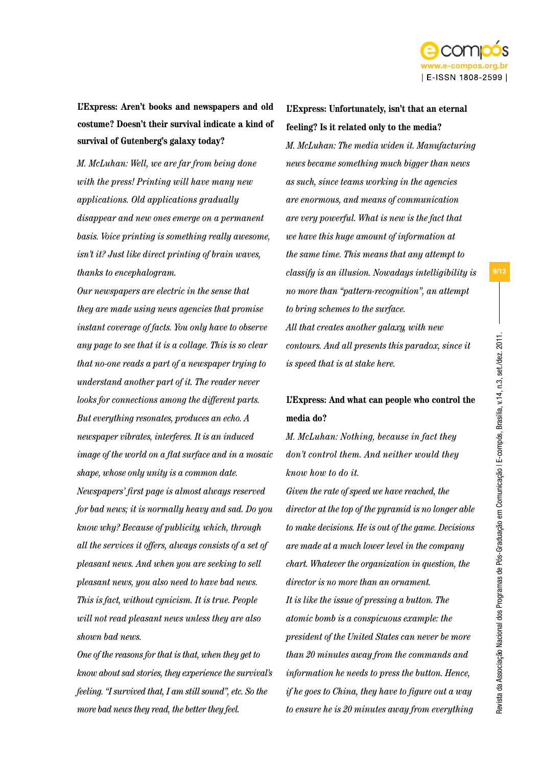

**L'Express: Aren't books and newspapers and old costume? Doesn't their survival indicate a kind of survival of Gutenberg's galaxy today?**

*M. McLuhan: Well, we are far from being done with the press! Printing will have many new applications. Old applications gradually disappear and new ones emerge on a permanent basis. Voice printing is something really awesome, isn't it? Just like direct printing of brain waves, thanks to encephalogram.* 

*Our newspapers are electric in the sense that they are made using news agencies that promise instant coverage of facts. You only have to observe any page to see that it is a collage. This is so clear that no-one reads a part of a newspaper trying to understand another part of it. The reader never looks for connections among the different parts. But everything resonates, produces an echo. A newspaper vibrates, interferes. It is an induced image of the world on a flat surface and in a mosaic shape, whose only unity is a common date. Newspapers' first page is almost always reserved for bad news; it is normally heavy and sad. Do you know why? Because of publicity, which, through all the services it offers, always consists of a set of pleasant news. And when you are seeking to sell pleasant news, you also need to have bad news. This is fact, without cynicism. It is true. People will not read pleasant news unless they are also shown bad news.* 

*One of the reasons for that is that, when they get to know about sad stories, they experience the survival's feeling. "I survived that, I am still sound", etc. So the more bad news they read, the better they feel.* 

**L'Express: Unfortunately, isn't that an eternal feeling? Is it related only to the media?**

*M. McLuhan: The media widen it. Manufacturing news became something much bigger than news as such, since teams working in the agencies are enormous, and means of communication are very powerful. What is new is the fact that we have this huge amount of information at the same time. This means that any attempt to classify is an illusion. Nowadays intelligibility is no more than "pattern-recognition", an attempt to bring schemes to the surface. All that creates another galaxy, with new contours. And all presents this paradox, since it is speed that is at stake here.* 

### **L'Express: And what can people who control the media do?**

*M. McLuhan: Nothing, because in fact they don't control them. And neither would they know how to do it.* 

*Given the rate of speed we have reached, the director at the top of the pyramid is no longer able to make decisions. He is out of the game. Decisions are made at a much lower level in the company chart. Whatever the organization in question, the director is no more than an ornament. It is like the issue of pressing a button. The atomic bomb is a conspicuous example: the president of the United States can never be more than 20 minutes away from the commands and information he needs to press the button. Hence, if he goes to China, they have to figure out a way to ensure he is 20 minutes away from everything*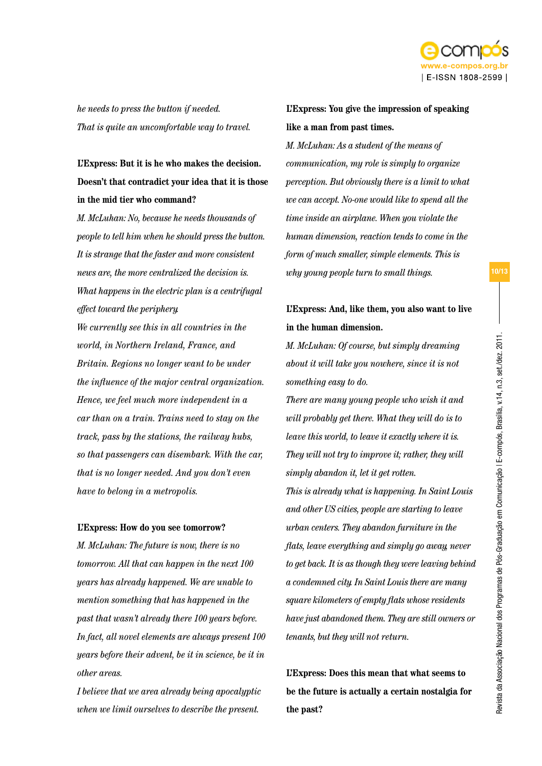

*he needs to press the button if needed. That is quite an uncomfortable way to travel.* 

### **L'Express: But it is he who makes the decision. Doesn't that contradict your idea that it is those in the mid tier who command?**

*M. McLuhan: No, because he needs thousands of people to tell him when he should press the button. It is strange that the faster and more consistent news are, the more centralized the decision is. What happens in the electric plan is a centrifugal effect toward the periphery.* 

*We currently see this in all countries in the world, in Northern Ireland, France, and Britain. Regions no longer want to be under the influence of the major central organization. Hence, we feel much more independent in a car than on a train. Trains need to stay on the track, pass by the stations, the railway hubs, so that passengers can disembark. With the car, that is no longer needed. And you don't even have to belong in a metropolis.* 

### **L'Express: How do you see tomorrow?**

*M. McLuhan: The future is now, there is no tomorrow. All that can happen in the next 100 years has already happened. We are unable to mention something that has happened in the past that wasn't already there 100 years before. In fact, all novel elements are always present 100 years before their advent, be it in science, be it in other areas.* 

*I believe that we area already being apocalyptic when we limit ourselves to describe the present.* 

### **L'Express: You give the impression of speaking like a man from past times.**

*M. McLuhan: As a student of the means of communication, my role is simply to organize perception. But obviously there is a limit to what we can accept. No-one would like to spend all the time inside an airplane. When you violate the human dimension, reaction tends to come in the form of much smaller, simple elements. This is why young people turn to small things.* 

### **L'Express: And, like them, you also want to live in the human dimension.**

*M. McLuhan: Of course, but simply dreaming about it will take you nowhere, since it is not something easy to do.* 

*There are many young people who wish it and will probably get there. What they will do is to leave this world, to leave it exactly where it is. They will not try to improve it; rather, they will simply abandon it, let it get rotten.* 

*This is already what is happening. In Saint Louis and other US cities, people are starting to leave urban centers. They abandon furniture in the flats, leave everything and simply go away, never to get back. It is as though they were leaving behind a condemned city. In Saint Louis there are many square kilometers of empty flats whose residents have just abandoned them. They are still owners or tenants, but they will not return.* 

**L'Express: Does this mean that what seems to be the future is actually a certain nostalgia for the past?**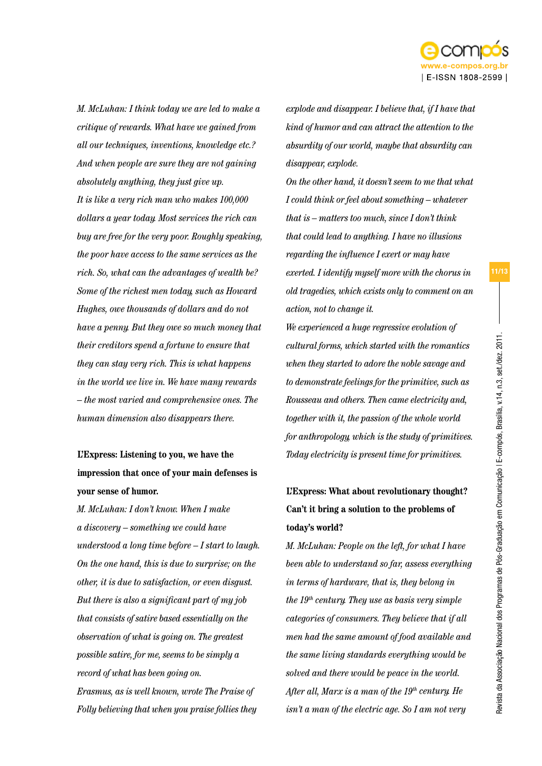

*M. McLuhan: I think today we are led to make a critique of rewards. What have we gained from all our techniques, inventions, knowledge etc.? And when people are sure they are not gaining absolutely anything, they just give up. It is like a very rich man who makes 100,000 dollars a year today. Most services the rich can buy are free for the very poor. Roughly speaking, the poor have access to the same services as the rich. So, what can the advantages of wealth be? Some of the richest men today, such as Howard Hughes, owe thousands of dollars and do not have a penny. But they owe so much money that their creditors spend a fortune to ensure that they can stay very rich. This is what happens in the world we live in. We have many rewards* 

*– the most varied and comprehensive ones. The human dimension also disappears there.* 

# **L'Express: Listening to you, we have the impression that once of your main defenses is your sense of humor.**

*M. McLuhan: I don't know. When I make a discovery – something we could have understood a long time before – I start to laugh. On the one hand, this is due to surprise; on the other, it is due to satisfaction, or even disgust. But there is also a significant part of my job that consists of satire based essentially on the observation of what is going on. The greatest possible satire, for me, seems to be simply a record of what has been going on. Erasmus, as is well known, wrote The Praise of Folly believing that when you praise follies they* 

*explode and disappear. I believe that, if I have that kind of humor and can attract the attention to the absurdity of our world, maybe that absurdity can disappear, explode.* 

*On the other hand, it doesn't seem to me that what I could think or feel about something – whatever that is – matters too much, since I don't think that could lead to anything. I have no illusions regarding the influence I exert or may have exerted. I identify myself more with the chorus in old tragedies, which exists only to comment on an action, not to change it.* 

*We experienced a huge regressive evolution of cultural forms, which started with the romantics when they started to adore the noble savage and to demonstrate feelings for the primitive, such as Rousseau and others. Then came electricity and, together with it, the passion of the whole world for anthropology, which is the study of primitives. Today electricity is present time for primitives.* 

### **L'Express: What about revolutionary thought? Can't it bring a solution to the problems of today's world?**

*M. McLuhan: People on the left, for what I have been able to understand so far, assess everything in terms of hardware, that is, they belong in the 19th century. They use as basis very simple categories of consumers. They believe that if all men had the same amount of food available and the same living standards everything would be solved and there would be peace in the world.*  After all, Marx is a man of the 19<sup>th</sup> century. He *isn't a man of the electric age. So I am not very*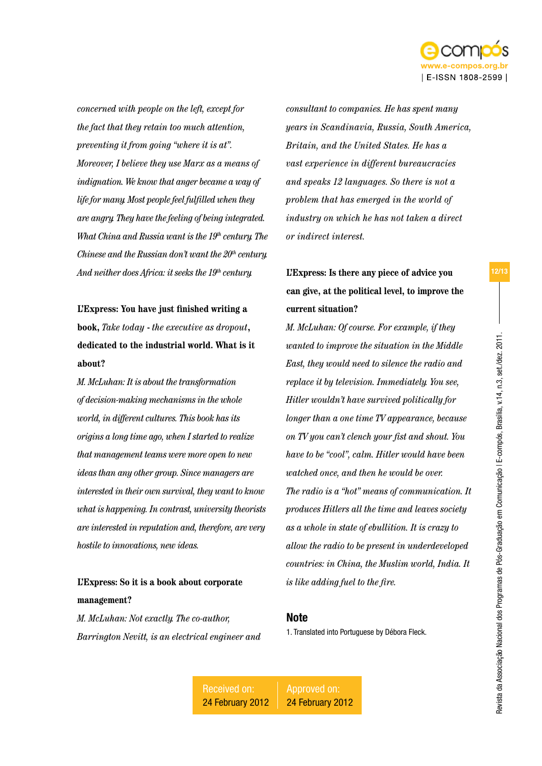

*concerned with people on the left, except for the fact that they retain too much attention, preventing it from going "where it is at". Moreover, I believe they use Marx as a means of indignation. We know that anger became a way of life for many. Most people feel fulfilled when they are angry. They have the feeling of being integrated. What China and Russia want is the 19th century. The Chinese and the Russian don't want the 20<sup>th</sup> century. And neither does Africa: it seeks the 19th century.* 

**L'Express: You have just finished writing a book,** *Take today* **-** *the executive as dropout***, dedicated to the industrial world. What is it about?**

*M. McLuhan: It is about the transformation of decision-making mechanisms in the whole world, in different cultures. This book has its origins a long time ago, when I started to realize that management teams were more open to new ideas than any other group. Since managers are interested in their own survival, they want to know what is happening. In contrast, university theorists are interested in reputation and, therefore, are very hostile to innovations, new ideas.* 

### **L'Express: So it is a book about corporate management?**

*M. McLuhan: Not exactly. The co-author, Barrington Nevitt, is an electrical engineer and*  *consultant to companies. He has spent many years in Scandinavia, Russia, South America, Britain, and the United States. He has a vast experience in different bureaucracies and speaks 12 languages. So there is not a problem that has emerged in the world of industry on which he has not taken a direct or indirect interest.* 

# **L'Express: Is there any piece of advice you can give, at the political level, to improve the current situation?**

*M. McLuhan: Of course. For example, if they wanted to improve the situation in the Middle East, they would need to silence the radio and replace it by television. Immediately. You see, Hitler wouldn't have survived politically for longer than a one time TV appearance, because on TV you can't clench your fist and shout. You have to be "cool", calm. Hitler would have been watched once, and then he would be over. The radio is a "hot" means of communication. It produces Hitlers all the time and leaves society as a whole in state of ebullition. It is crazy to allow the radio to be present in underdeveloped countries: in China, the Muslim world, India. It is like adding fuel to the fire.*

### **Note**

1. Translated into Portuguese by Débora Fleck.

Received on: 24 February 2012

Approved on: 24 February 2012